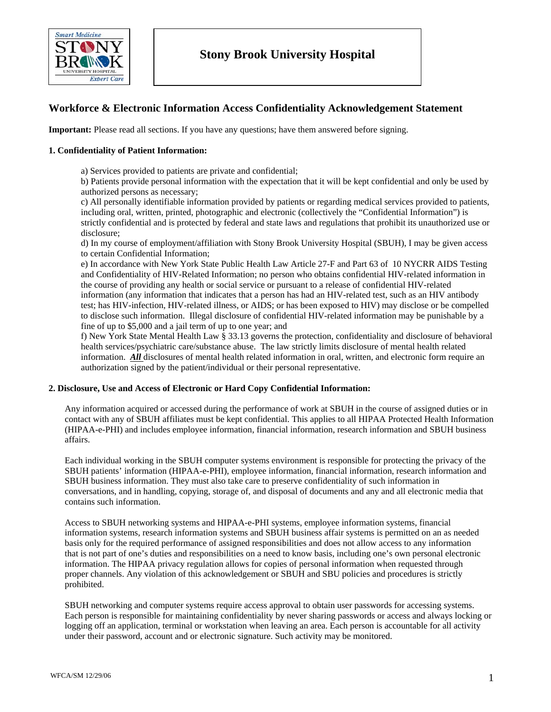

# **Workforce & Electronic Information Access Confidentiality Acknowledgement Statement**

**Important:** Please read all sections. If you have any questions; have them answered before signing.

# **1. Confidentiality of Patient Information:**

a) Services provided to patients are private and confidential;

b) Patients provide personal information with the expectation that it will be kept confidential and only be used by authorized persons as necessary;

c) All personally identifiable information provided by patients or regarding medical services provided to patients, including oral, written, printed, photographic and electronic (collectively the "Confidential Information") is strictly confidential and is protected by federal and state laws and regulations that prohibit its unauthorized use or disclosure;

d) In my course of employment/affiliation with Stony Brook University Hospital (SBUH), I may be given access to certain Confidential Information;

e) In accordance with New York State Public Health Law Article 27-F and Part 63 of 10 NYCRR AIDS Testing and Confidentiality of HIV-Related Information; no person who obtains confidential HIV-related information in the course of providing any health or social service or pursuant to a release of confidential HIV-related information (any information that indicates that a person has had an HIV-related test, such as an HIV antibody test; has HIV-infection, HIV-related illness, or AIDS; or has been exposed to HIV) may disclose or be compelled to disclose such information. Illegal disclosure of confidential HIV-related information may be punishable by a fine of up to \$5,000 and a jail term of up to one year; and

f) New York State Mental Health Law § 33.13 governs the protection, confidentiality and disclosure of behavioral health services/psychiatric care/substance abuse. The law strictly limits disclosure of mental health related information. *All* disclosures of mental health related information in oral, written, and electronic form require an authorization signed by the patient/individual or their personal representative.

#### **2. Disclosure, Use and Access of Electronic or Hard Copy Confidential Information:**

Any information acquired or accessed during the performance of work at SBUH in the course of assigned duties or in contact with any of SBUH affiliates must be kept confidential. This applies to all HIPAA Protected Health Information (HIPAA-e-PHI) and includes employee information, financial information, research information and SBUH business affairs.

Each individual working in the SBUH computer systems environment is responsible for protecting the privacy of the SBUH patients' information (HIPAA-e-PHI), employee information, financial information, research information and SBUH business information. They must also take care to preserve confidentiality of such information in conversations, and in handling, copying, storage of, and disposal of documents and any and all electronic media that contains such information.

Access to SBUH networking systems and HIPAA-e-PHI systems, employee information systems, financial information systems, research information systems and SBUH business affair systems is permitted on an as needed basis only for the required performance of assigned responsibilities and does not allow access to any information that is not part of one's duties and responsibilities on a need to know basis, including one's own personal electronic information. The HIPAA privacy regulation allows for copies of personal information when requested through proper channels. Any violation of this acknowledgement or SBUH and SBU policies and procedures is strictly prohibited.

SBUH networking and computer systems require access approval to obtain user passwords for accessing systems. Each person is responsible for maintaining confidentiality by never sharing passwords or access and always locking or logging off an application, terminal or workstation when leaving an area. Each person is accountable for all activity under their password, account and or electronic signature. Such activity may be monitored.